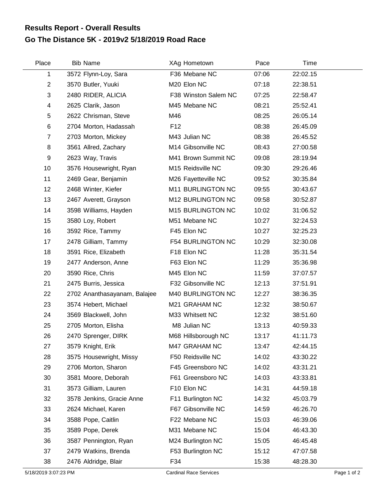## **Go The Distance 5K - 2019v2 5/18/2019 Road Race Results Report - Overall Results**

| Place                | <b>Bib Name</b>              | XAg Hometown                  | Pace  | Time     |             |
|----------------------|------------------------------|-------------------------------|-------|----------|-------------|
| 1                    | 3572 Flynn-Loy, Sara         | F36 Mebane NC                 | 07:06 | 22:02.15 |             |
| $\overline{2}$       | 3570 Butler, Yuuki           | M20 Elon NC                   | 07:18 | 22:38.51 |             |
| 3                    | 2480 RIDER, ALICIA           | F38 Winston Salem NC          | 07:25 | 22:58.47 |             |
| 4                    | 2625 Clarik, Jason           | M45 Mebane NC                 | 08:21 | 25:52.41 |             |
| $\,$ 5 $\,$          | 2622 Chrisman, Steve         | M46                           | 08:25 | 26:05.14 |             |
| 6                    | 2704 Morton, Hadassah        | F <sub>12</sub>               | 08:38 | 26:45.09 |             |
| $\overline{7}$       | 2703 Morton, Mickey          | M43 Julian NC                 | 08:38 | 26:45.52 |             |
| 8                    | 3561 Allred, Zachary         | M14 Gibsonville NC            | 08:43 | 27:00.58 |             |
| 9                    | 2623 Way, Travis             | M41 Brown Summit NC           | 09:08 | 28:19.94 |             |
| 10                   | 3576 Housewright, Ryan       | M15 Reidsville NC             | 09:30 | 29:26.46 |             |
| 11                   | 2469 Gear, Benjamin          | M26 Fayetteville NC           | 09:52 | 30:35.84 |             |
| 12                   | 2468 Winter, Kiefer          | M11 BURLINGTON NC             | 09:55 | 30:43.67 |             |
| 13                   | 2467 Averett, Grayson        | M12 BURLINGTON NC             | 09:58 | 30:52.87 |             |
| 14                   | 3598 Williams, Hayden        | M15 BURLINGTON NC             | 10:02 | 31:06.52 |             |
| 15                   | 3580 Loy, Robert             | M51 Mebane NC                 | 10:27 | 32:24.53 |             |
| 16                   | 3592 Rice, Tammy             | F45 Elon NC                   | 10:27 | 32:25.23 |             |
| 17                   | 2478 Gilliam, Tammy          | F54 BURLINGTON NC             | 10:29 | 32:30.08 |             |
| 18                   | 3591 Rice, Elizabeth         | F18 Elon NC                   | 11:28 | 35:31.54 |             |
| 19                   | 2477 Anderson, Anne          | F63 Elon NC                   | 11:29 | 35:36.98 |             |
| 20                   | 3590 Rice, Chris             | M45 Elon NC                   | 11:59 | 37:07.57 |             |
| 21                   | 2475 Burris, Jessica         | F32 Gibsonville NC            | 12:13 | 37:51.91 |             |
| 22                   | 2702 Ananthasayanam, Balajee | M40 BURLINGTON NC             | 12:27 | 38:36.35 |             |
| 23                   | 3574 Hebert, Michael         | M21 GRAHAM NC                 | 12:32 | 38:50.67 |             |
| 24                   | 3569 Blackwell, John         | M33 Whitsett NC               | 12:32 | 38:51.60 |             |
| 25                   | 2705 Morton, Elisha          | M8 Julian NC                  | 13:13 | 40:59.33 |             |
| 26                   | 2470 Sprenger, DIRK          | M68 Hillsborough NC           | 13:17 | 41:11.73 |             |
| 27                   | 3579 Knight, Erik            | M47 GRAHAM NC                 | 13:47 | 42:44.15 |             |
| 28                   | 3575 Housewright, Missy      | F50 Reidsville NC             | 14:02 | 43:30.22 |             |
| 29                   | 2706 Morton, Sharon          | F45 Greensboro NC             | 14:02 | 43:31.21 |             |
| 30                   | 3581 Moore, Deborah          | F61 Greensboro NC             | 14:03 | 43:33.81 |             |
| 31                   | 3573 Gilliam, Lauren         | F10 Elon NC                   | 14:31 | 44:59.18 |             |
| 32                   | 3578 Jenkins, Gracie Anne    | F11 Burlington NC             | 14:32 | 45:03.79 |             |
| 33                   | 2624 Michael, Karen          | F67 Gibsonville NC            | 14:59 | 46:26.70 |             |
| 34                   | 3588 Pope, Caitlin           | F22 Mebane NC                 | 15:03 | 46:39.06 |             |
| 35                   | 3589 Pope, Derek             | M31 Mebane NC                 | 15:04 | 46:43.30 |             |
| 36                   | 3587 Pennington, Ryan        | M24 Burlington NC             | 15:05 | 46:45.48 |             |
| 37                   | 2479 Watkins, Brenda         | F53 Burlington NC             | 15:12 | 47:07.58 |             |
| 38                   | 2476 Aldridge, Blair         | F34                           | 15:38 | 48:28.30 |             |
| 5/18/2019 3:07:23 PM |                              | <b>Cardinal Race Services</b> |       |          | Page 1 of 2 |